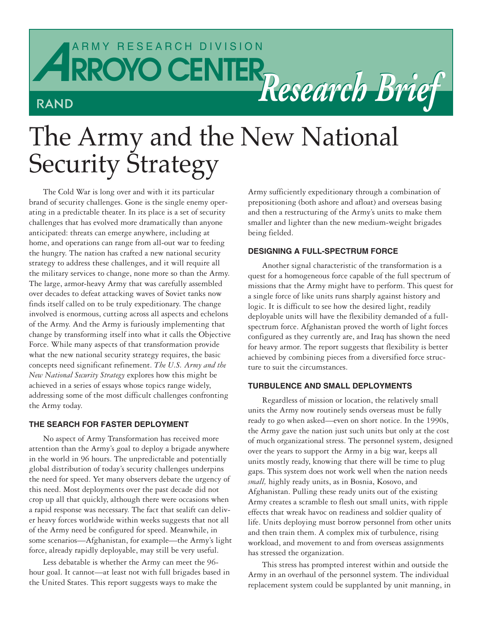# *ARROYO CENTER Research Brief* **RROYO CENTER** RAND

# The Army and the New National Security Strategy

The Cold War is long over and with it its particular brand of security challenges. Gone is the single enemy operating in a predictable theater. In its place is a set of security challenges that has evolved more dramatically than anyone anticipated: threats can emerge anywhere, including at home, and operations can range from all-out war to feeding the hungry. The nation has crafted a new national security strategy to address these challenges, and it will require all the military services to change, none more so than the Army. The large, armor-heavy Army that was carefully assembled over decades to defeat attacking waves of Soviet tanks now finds itself called on to be truly expeditionary. The change involved is enormous, cutting across all aspects and echelons of the Army. And the Army is furiously implementing that change by transforming itself into what it calls the Objective Force. While many aspects of that transformation provide what the new national security strategy requires, the basic concepts need significant refinement. *The U.S. Army and the New National Security Strategy* explores how this might be achieved in a series of essays whose topics range widely, addressing some of the most difficult challenges confronting the Army today.

## **THE SEARCH FOR FASTER DEPLOYMENT**

No aspect of Army Transformation has received more attention than the Army's goal to deploy a brigade anywhere in the world in 96 hours. The unpredictable and potentially global distribution of today's security challenges underpins the need for speed. Yet many observers debate the urgency of this need. Most deployments over the past decade did not crop up all that quickly, although there were occasions when a rapid response was necessary. The fact that sealift can deliver heavy forces worldwide within weeks suggests that not all of the Army need be configured for speed. Meanwhile, in some scenarios—Afghanistan, for example—the Army's light force, already rapidly deployable, may still be very useful.

Less debatable is whether the Army can meet the 96 hour goal. It cannot—at least not with full brigades based in the United States. This report suggests ways to make the

Army sufficiently expeditionary through a combination of prepositioning (both ashore and afloat) and overseas basing and then a restructuring of the Army's units to make them smaller and lighter than the new medium-weight brigades being fielded.

# **DESIGNING A FULL-SPECTRUM FORCE**

Another signal characteristic of the transformation is a quest for a homogeneous force capable of the full spectrum of missions that the Army might have to perform. This quest for a single force of like units runs sharply against history and logic. It is difficult to see how the desired light, readily deployable units will have the flexibility demanded of a fullspectrum force. Afghanistan proved the worth of light forces configured as they currently are, and Iraq has shown the need for heavy armor. The report suggests that flexibility is better achieved by combining pieces from a diversified force structure to suit the circumstances.

#### **TURBULENCE AND SMALL DEPLOYMENTS**

Regardless of mission or location, the relatively small units the Army now routinely sends overseas must be fully ready to go when asked—even on short notice. In the 1990s, the Army gave the nation just such units but only at the cost of much organizational stress. The personnel system, designed over the years to support the Army in a big war, keeps all units mostly ready, knowing that there will be time to plug gaps. This system does not work well when the nation needs *small,* highly ready units, as in Bosnia, Kosovo, and Afghanistan. Pulling these ready units out of the existing Army creates a scramble to flesh out small units, with ripple effects that wreak havoc on readiness and soldier quality of life. Units deploying must borrow personnel from other units and then train them. A complex mix of turbulence, rising workload, and movement to and from overseas assignments has stressed the organization.

This stress has prompted interest within and outside the Army in an overhaul of the personnel system. The individual replacement system could be supplanted by unit manning, in